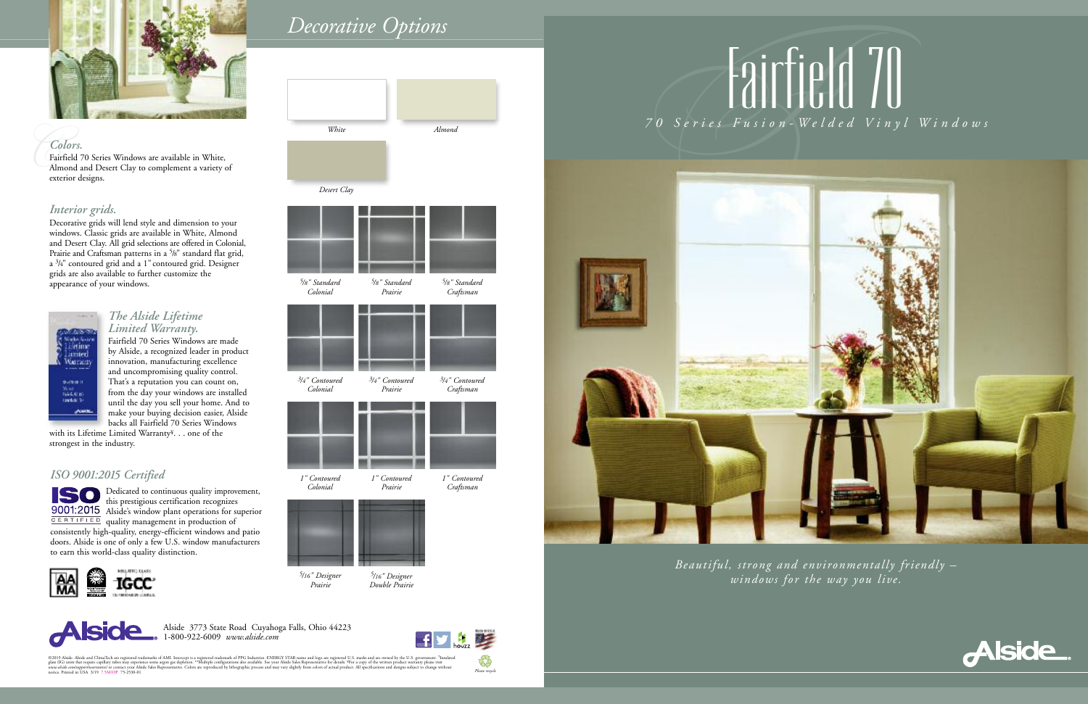Alside 3773 State Road Cuyahoga Falls, Ohio 44223 1-800-922-6009 *www.alside.com*



©2019 Alside. Alside and ClimaTech are registered trademarks of AMI. Intercept is a registered trademark of PPG Industries. ENERGY STAR name and logo are registered U.S. marks and are owned by the U.S. government. †Insulat

*Please recycle*

*White*

*Decorative Options*

*Almond*

*5 /8" Standard Colonial 5 /8" Standard Prairie*

*5 /8" Standard Craftsman*

*Colonial*



*3 /4" Contoured Prairie*

*Craftsman*

*1" Contoured Colonial*



*Prairie*

*Craftsman*



*Prairie*

*5 /16" Designer Double Prairie*



*Colors.*<br>Fairfield 7<br>Almond a Fairfield 70 Series Windows are available in White, Almond and Desert Clay to complement a variety of exterior designs.

# *Interior grids.*

Decorative grids will lend style and dimension to your windows. Classic grids are available in White, Almond and Desert Clay. All grid selections are offered in Colonial, Prairie and Craftsman patterns in a 5/8" standard flat grid, a <sup>3</sup>/4" contoured grid and a 1" contoured grid. Designer grids are also available to further customize the appearance of your windows.



# *The Alside Lifetime Limited Warranty.*

Fairfield 70 Series Windows are made by Alside, a recognized leader in product innovation, manufacturing excellence and uncompromising quality control. That's a reputation you can count on, from the day your windows are installed until the day you sell your home. And to make your buying decision easier, Alside backs all Fairfield 70 Series Windows

with its Lifetime Limited Warranty¥. . . one of the strongest in the industry.

*Desert Clay*

*Beautiful, strong and environmentally friendly – windows for the way you live.*







## *ISO 9001:2015 Certified*



Dedicated to continuous quality improvement, this prestigious certification recognizes 9001:2015 Alside's window plant operations for superior  $\frac{C \times C \times C}{C \times R \times T \times T \times T}$  quality management in production of consistently high-quality, energy-efficient windows and patio doors. Alside is one of only a few U.S. window manufacturers



to earn this world-class quality distinction.



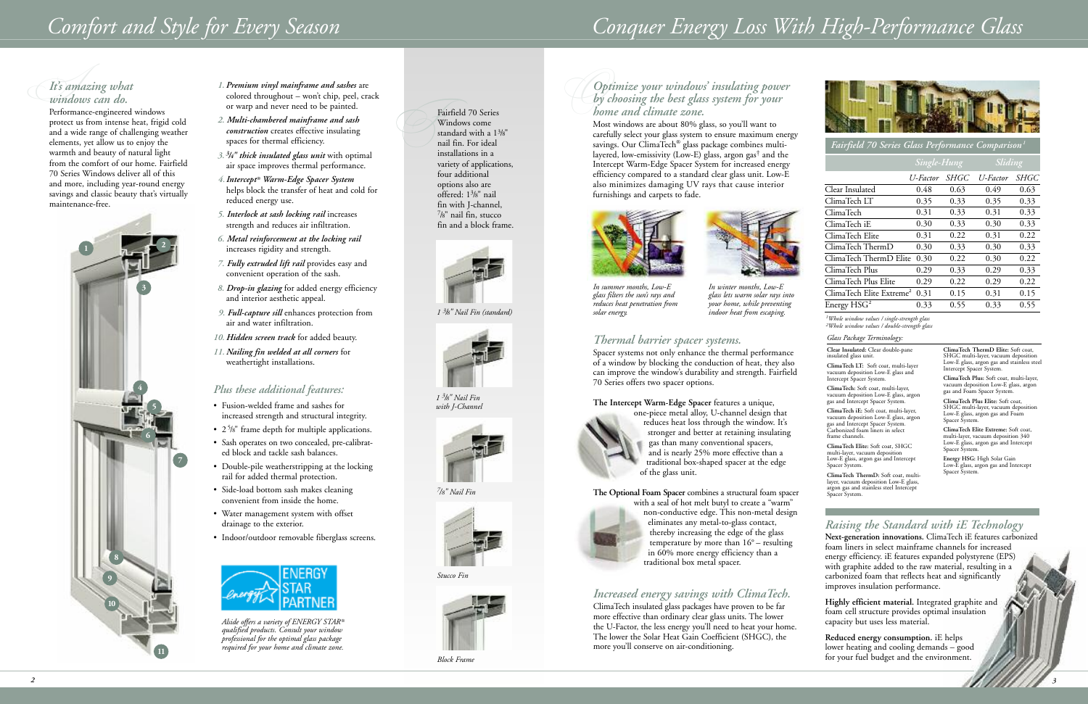

*3*

# *Conquer Energy Loss With High-Performance Glass*



*Fairfield* 70 Series Glass Performance Comparis



*1 3 /8" Nail Fin (standard)*

### *Plus these additional features:*

- Fusion-welded frame and sashes for increased strength and structural integrity.
- 2 <sup>5</sup> /8" frame depth for multiple applications.
- Sash operates on two concealed, pre-calibrated block and tackle sash balances.
- Double-pile weatherstripping at the locking rail for added thermal protection.
- Side-load bottom sash makes cleaning convenient from inside the home.
- Water management system with offset drainage to the exterior.
- Indoor/outdoor removable fiberglass screens.



Fairfield<br>Window<br>standard<br>nail fin. Fairfield 70 Series Windows come standard with a 1<sup>3</sup>/8" nail fin. For ideal installations in a variety of applications, four additional options also are offered: 13 /8" nail fin with J-channel, 7 /8" nail fin, stucco fin and a block frame.

## It's amazin *It's amazing what windows can do.*

- *1. Premium vinyl mainframe and sashes* are colored throughout – won't chip, peel, crack or warp and never need to be painted.
- *2. Multi-chambered mainframe and sash construction* creates effective insulating spaces for thermal efficiency.
- *3. <sup>3</sup> /4" thick insulated glass unit* with optimal air space improves thermal performance.
- *4.Intercept® Warm-Edge Spacer System* helps block the transfer of heat and cold for reduced energy use.
- *5. Interlock at sash locking rail* increases strength and reduces air infiltration.
- *6. Metal reinforcement at the locking rail* increases rigidity and strength.
- *7. Fully extruded lift rail* provides easy and convenient operation of the sash.
- *8. Drop-in glazing* for added energy efficiency and interior aesthetic appeal.
- *9. Full-capture sill* enhances protection from air and water infiltration.
- *10. Hidden screen track* for added beauty.
- *11. Nailing fin welded at all corners* for weathertight installations.

### *Optin*<br>*Optin*<br>home *Optimize your windows' insulating power by choosing the best glass system for your home and climate zone.*

*7 /8" Nail Fin*

Performance-engineered windows protect us from intense heat, frigid cold and a wide range of challenging weather elements, yet allow us to enjoy the warmth and beauty of natural light from the comfort of our home. Fairfield 70 Series Windows deliver all of this and more, including year-round energy savings and classic beauty that's virtually maintenance-free.



*1 <sup>3</sup> /8" Nail Fin with J-Channel*





*Stucco Fin*



*Block Frame*

*Alside offers a variety of ENERGY STAR* ® *qualified products. Consult your window professional for the optimal glass package required for your home and climate zone.*



*In summer months, Low-E glass filters the sun's rays and reduces heat penetration from solar energy.*

*In winter months, Low-E glass lets warm solar rays into your home, while preventing indoor heat from escaping.*

**Reduced energy consumption.** iE helps lower heating and cooling demands – good for your fuel budget and the environment.

Most windows are about 80% glass, so you'll want to carefully select your glass system to ensure maximum energy savings. Our ClimaTech® glass package combines multilayered, low-emissivity (Low-E) glass, argon gas† and the Intercept Warm-Edge Spacer System for increased energy efficiency compared to a standard clear glass unit. Low-E also minimizes damaging UV rays that cause interior furnishings and carpets to fade.



**ClimaTech Elite Extreme:** Soft coat, multi-layer, vacuum deposition 340 Low-E glass, argon gas and Intercept Spacer System

|                                      |          | Sliding<br>Single-Hung |          |             |
|--------------------------------------|----------|------------------------|----------|-------------|
|                                      | U-Factor | <i>SHGC</i>            | U-Factor | <i>SHGC</i> |
| Clear Insulated                      | 0.48     | 0.63                   | 0.49     | 0.63        |
| ClimaTech LT                         | 0.35     | 0.33                   | 0.35     | 0.33        |
| ClimaTech                            | 0.31     | 0.33                   | 0.31     | 0.33        |
| ClimaTech iE                         | 0.30     | 0.33                   | 0.30     | 0.33        |
| ClimaTech Elite                      | 0.31     | 0.22                   | 0.31     | 0.22        |
| ClimaTech ThermD                     | 0.30     | 0.33                   | 0.30     | 0.33        |
| ClimaTech ThermD Elite               | 0.30     | 0.22                   | 0.30     | 0.22        |
| ClimaTech Plus                       | 0.29     | 0.33                   | 0.29     | 0.33        |
| ClimaTech Plus Elite                 | 0.29     | 0.22                   | 0.29     | 0.22        |
| ClimaTech Elite Extreme <sup>2</sup> | 0.31     | 0.15                   | 0.31     | 0.15        |
| Energy $HSG2$                        | 0.33     | 0.55                   | 0.33     | 0.55        |

*1Whole window values / single-strength glass*

*2Whole window values / double-strength glass*

# *Increased energy savings with ClimaTech.*

ClimaTech insulated glass packages have proven to be far more effective than ordinary clear glass units. The lower the U-Factor, the less energy you'll need to heat your home. The lower the Solar Heat Gain Coefficient (SHGC), the more you'll conserve on air-conditioning.

## *Thermal barrier spacer systems.*

Spacer systems not only enhance the thermal performance of a window by blocking the conduction of heat, they also can improve the window's durability and strength. Fairfield 70 Series offers two spacer options.

**The Intercept Warm-Edge Spacer** features a unique,



one-piece metal alloy, U-channel design that reduces heat loss through the window. It's stronger and better at retaining insulating gas than many conventional spacers, and is nearly 25% more effective than a traditional box-shaped spacer at the edge of the glass unit.

**The Optional Foam Spacer** combines a structural foam spacer



with a seal of hot melt butyl to create a "warm" non-conductive edge. This non-metal design eliminates any metal-to-glass contact, thereby increasing the edge of the glass temperature by more than 16° – resulting in 60% more energy efficiency than a traditional box metal spacer.

# *Raising the Standard with iE Technology*

**Next-generation innovations.** ClimaTech iE features carbonized foam liners in select mainframe channels for increased energy efficiency. iE features expanded polystyrene (EPS) with graphite added to the raw material, resulting in a carbonized foam that reflects heat and significantly improves insulation performance.

**Highly efficient material.** Integrated graphite and foam cell structure provides optimal insulation capacity but uses less material.

**Clear Insulated:** Clear double-pane insulated glass unit.

**ClimaTech LT:** Soft coat, multi-layer vacuum deposition Low-E glass and Intercept Spacer System.

**ClimaTech:** Soft coat, multi-layer, vacuum deposition Low-E glass, argon gas and Intercept Spacer System.

**ClimaTech iE:** Soft coat, multi-layer, vacuum deposition Low-E glass, argon gas and Intercept Spacer System. Carbonized foam liners in select frame channels.

**ClimaTech Elite:** Soft coat, SHGC multi-layer, vacuum deposition Low-E glass, argon gas and Intercept Spacer System.

**ClimaTech ThermD:** Soft coat, multilayer, vacuum deposition Low-E glass, argon gas and stainless steel Intercept Spacer System.

*Glass Package Terminology:*

**ClimaTech ThermD Elite:** Soft coat, SHGC multi-layer, vacuum deposition Low-E glass, argon gas and stainless steel Intercept Spacer System.

**ClimaTech Plus:** Soft coat, multi-layer, vacuum deposition Low-E glass, argon gas and Foam Spacer System.

**ClimaTech Plus Elite:** Soft coat, SHGC multi-layer, vacuum depositi Low-E glass, argon gas and Foam Spacer System.

**Energy HSG:** High Solar Gain Low-E glass, argon gas and Intercept Spacer System.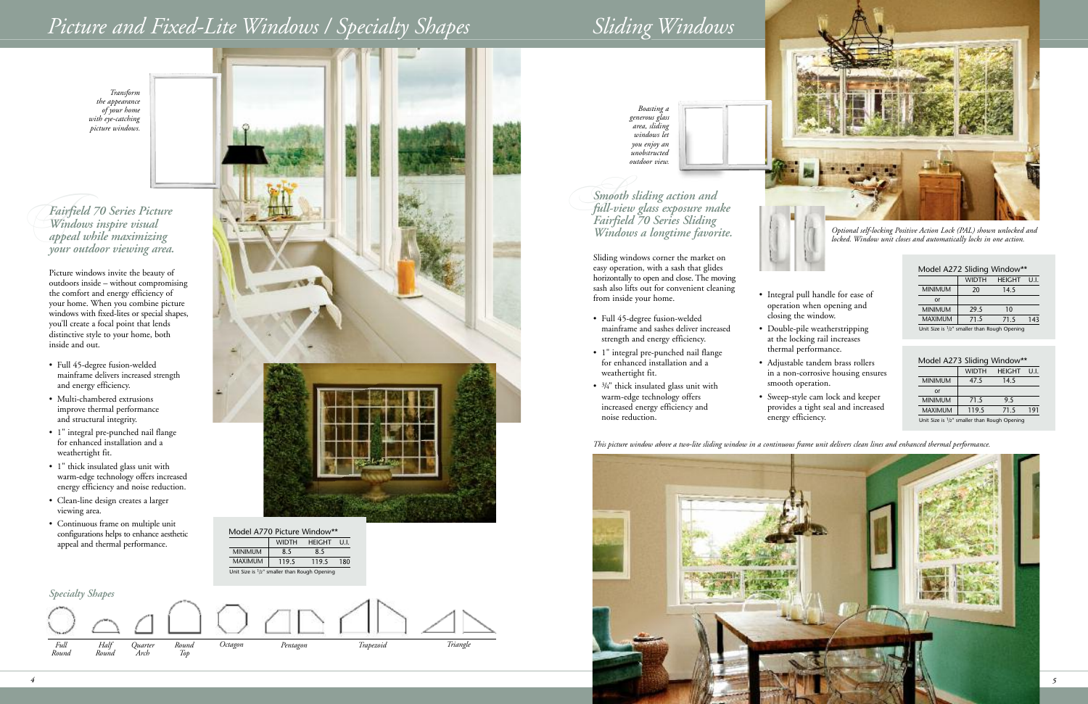### Model A272 Sliding Window\*\*

|                                                                                                                                                                                                                                                                                                                                    | <b>WIDTH</b> | <b>HEIGHT</b> | U.I. |
|------------------------------------------------------------------------------------------------------------------------------------------------------------------------------------------------------------------------------------------------------------------------------------------------------------------------------------|--------------|---------------|------|
| <b>MINIMUM</b>                                                                                                                                                                                                                                                                                                                     | 20           | 14.5          |      |
| or                                                                                                                                                                                                                                                                                                                                 |              |               |      |
| <b>MINIMUM</b>                                                                                                                                                                                                                                                                                                                     | 29.5         | 10            |      |
| <b>MAXIMUM</b>                                                                                                                                                                                                                                                                                                                     | 71.5         | 71.5          | 143  |
| $\mathbf{a}$ $\mathbf{b}$ $\mathbf{c}$ $\mathbf{c}$ $\mathbf{d}$ $\mathbf{d}$ $\mathbf{e}$ $\mathbf{d}$ $\mathbf{e}$ $\mathbf{d}$ $\mathbf{e}$ $\mathbf{e}$ $\mathbf{e}$ $\mathbf{e}$ $\mathbf{e}$ $\mathbf{e}$ $\mathbf{e}$ $\mathbf{e}$ $\mathbf{e}$ $\mathbf{e}$ $\mathbf{e}$ $\mathbf{e}$ $\mathbf{e}$ $\mathbf{e}$ $\mathbf{$ |              |               |      |

Unit Size is 1/2" smaller than Rough Opening

### Model A273 Sliding Window\*\*

|                | <b>WIDTH</b> | <b>HEIGHT</b> | U.I. |
|----------------|--------------|---------------|------|
| <b>MINIMUM</b> | 47.5         | 14.5          |      |
| or             |              |               |      |
| <b>MINIMUM</b> | 71.5         | 9.5           |      |
| <b>MAXIMUM</b> | 119.5        | 71.5          | 191  |
|                |              |               |      |

Unit Size is 1/2" smaller than Rough Opening

*Smooth st Smooth sliding action and full-view glass exposure make Fairfield 70 Series Sliding Windows a longtime favorite.*

# *Picture and Fixed-Lite Windows / Specialty Shapes Sliding Windows*



*FFairfield <sup>70</sup> Series Picture appeal while maximizing Windows inspire visual your outdoor viewing area.*

> Picture windows invite the beauty of outdoors inside – without compromising the comfort and energy efficiency of your home. When you combine picture windows with fixed-lites or special shapes, you'll create a focal point that lends distinctive style to your home, both inside and out.

- Full 45-degree fusion-welded mainframe delivers increased strength and energy efficiency.
- Multi-chambered extrusions improve thermal performance and structural integrity.
- 1" integral pre-punched nail flange for enhanced installation and a weathertight fit.
- 1" thick insulated glass unit with warm-edge technology offers increased energy efficiency and noise reduction.
- Clean-line design creates a larger viewing area.
- Continuous frame on multiple unit configurations helps to enhance aesthetic appeal and thermal performance.



*Transform the appearance of your home with eye-catching picture windows.*

> Sliding windows corner the market on easy operation, with a sash that glides horizontally to open and close. The moving sash also lifts out for convenient cleaning from inside your home.

- Full 45-degree fusion-welded mainframe and sashes deliver increased strength and energy efficiency.
- 1" integral pre-punched nail flange for enhanced installation and a weathertight fit.
- <sup>3</sup>/4" thick insulated glass unit with warm-edge technology offers increased energy efficiency and noise reduction.

This picture window above a two-lite sliding window in a continuous frame unit delivers clean lines and enhanced thermal performance.



| Model A770 Picture Window** | <b>WIDTH</b> | <b>HEIGHT</b> | U.L |
|-----------------------------|--------------|---------------|-----|
| <b>MINIMUM</b>              | 8.5          | 8.5           |     |
| <b>MAXIMUM</b>              | 119.5        | 119.5         | 180 |

• Integral pull handle for ease of operation when opening and closing the window.

- Double-pile weatherstripping at the locking rail increases thermal performance.
- Adjustable tandem brass rollers in a non-corrosive housing ensures smooth operation.
- Sweep-style cam lock and keeper provides a tight seal and increased energy efficiency.

*Boasting a generous glass area, sliding windows let you enjoy an unobstructed outdoor view.*





*Optional self-locking Positive Action Lock (PAL) shown unlocked and locked. Window unit closes and automatically locks in one action.*